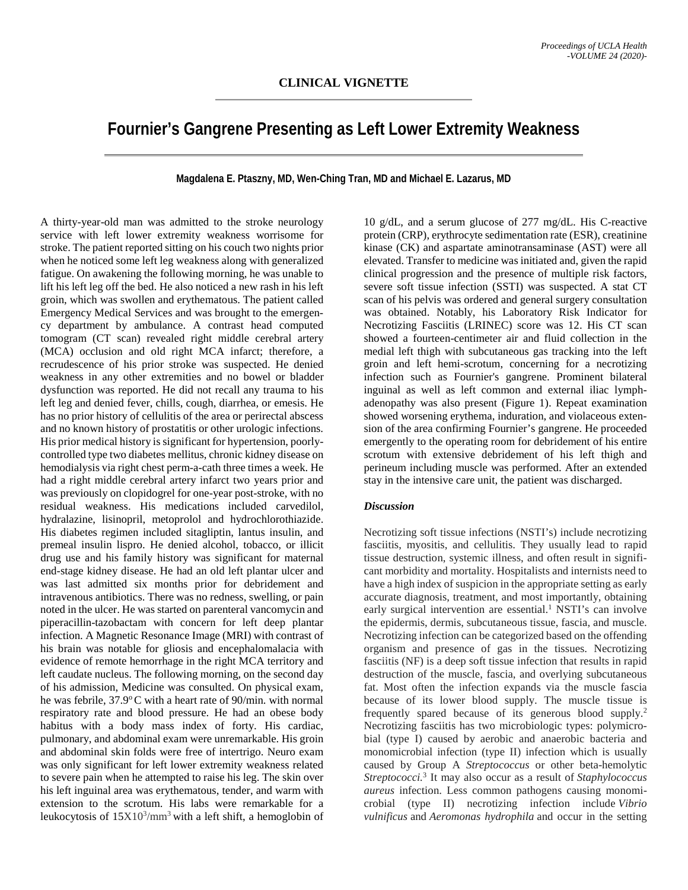## **Fournier's Gangrene Presenting as Left Lower Extremity Weakness**

**Magdalena E. Ptaszny, MD, Wen-Ching Tran, MD and Michael E. Lazarus, MD**

A thirty-year-old man was admitted to the stroke neurology service with left lower extremity weakness worrisome for stroke. The patient reported sitting on his couch two nights prior when he noticed some left leg weakness along with generalized fatigue. On awakening the following morning, he was unable to lift his left leg off the bed. He also noticed a new rash in his left groin, which was swollen and erythematous. The patient called Emergency Medical Services and was brought to the emergency department by ambulance. A contrast head computed tomogram (CT scan) revealed right middle cerebral artery (MCA) occlusion and old right MCA infarct; therefore, a recrudescence of his prior stroke was suspected. He denied weakness in any other extremities and no bowel or bladder dysfunction was reported. He did not recall any trauma to his left leg and denied fever, chills, cough, diarrhea, or emesis. He has no prior history of cellulitis of the area or perirectal abscess and no known history of prostatitis or other urologic infections. His prior medical history is significant for hypertension, poorlycontrolled type two diabetes mellitus, chronic kidney disease on hemodialysis via right chest perm-a-cath three times a week. He had a right middle cerebral artery infarct two years prior and was previously on clopidogrel for one-year post-stroke, with no residual weakness. His medications included carvedilol, hydralazine, lisinopril, metoprolol and hydrochlorothiazide. His diabetes regimen included sitagliptin, lantus insulin, and premeal insulin lispro. He denied alcohol, tobacco, or illicit drug use and his family history was significant for maternal end-stage kidney disease. He had an old left plantar ulcer and was last admitted six months prior for debridement and intravenous antibiotics. There was no redness, swelling, or pain noted in the ulcer. He was started on parenteral vancomycin and piperacillin-tazobactam with concern for left deep plantar infection. A Magnetic Resonance Image (MRI) with contrast of his brain was notable for gliosis and encephalomalacia with evidence of remote hemorrhage in the right MCA territory and left caudate nucleus. The following morning, on the second day of his admission, Medicine was consulted. On physical exam, he was febrile, 37.9°C with a heart rate of 90/min. with normal respiratory rate and blood pressure. He had an obese body habitus with a body mass index of forty. His cardiac, pulmonary, and abdominal exam were unremarkable. His groin and abdominal skin folds were free of intertrigo. Neuro exam was only significant for left lower extremity weakness related to severe pain when he attempted to raise his leg. The skin over his left inguinal area was erythematous, tender, and warm with extension to the scrotum. His labs were remarkable for a leukocytosis of  $15X10^3/\text{mm}^3$  with a left shift, a hemoglobin of

10 g/dL, and a serum glucose of 277 mg/dL. His C-reactive protein (CRP), erythrocyte sedimentation rate (ESR), creatinine kinase (CK) and aspartate aminotransaminase (AST) were all elevated. Transfer to medicine was initiated and, given the rapid clinical progression and the presence of multiple risk factors, severe soft tissue infection (SSTI) was suspected. A stat CT scan of his pelvis was ordered and general surgery consultation was obtained. Notably, his Laboratory Risk Indicator for Necrotizing Fasciitis (LRINEC) score was 12. His CT scan showed a fourteen-centimeter air and fluid collection in the medial left thigh with subcutaneous gas tracking into the left groin and left hemi-scrotum, concerning for a necrotizing infection such as Fournier's gangrene. Prominent bilateral inguinal as well as left common and external iliac lymphadenopathy was also present (Figure 1). Repeat examination showed worsening erythema, induration, and violaceous extension of the area confirming Fournier's gangrene. He proceeded emergently to the operating room for debridement of his entire scrotum with extensive debridement of his left thigh and perineum including muscle was performed. After an extended stay in the intensive care unit, the patient was discharged.

## *Discussion*

Necrotizing soft tissue infections (NSTI's) include necrotizing fasciitis, myositis, and cellulitis. They usually lead to rapid tissue destruction, systemic illness, and often result in significant morbidity and mortality. Hospitalists and internists need to have a high index of suspicion in the appropriate setting as early accurate diagnosis, treatment, and most importantly, obtaining early surgical intervention are essential.<sup>1</sup> NSTI's can involve the epidermis, dermis, subcutaneous tissue, fascia, and muscle. Necrotizing infection can be categorized based on the offending organism and presence of gas in the tissues. Necrotizing fasciitis (NF) is a deep soft tissue infection that results in rapid destruction of the muscle, fascia, and overlying subcutaneous fat. Most often the infection expands via the muscle fascia because of its lower blood supply. The muscle tissue is frequently spared because of its generous blood supply.2 Necrotizing fasciitis has two microbiologic types: polymicrobial (type I) caused by aerobic and anaerobic bacteria and monomicrobial infection (type II) infection which is usually caused by Group A *Streptococcus* or other beta-hemolytic *Streptococci.*<sup>3</sup> It may also occur as a result of *Staphylococcus aureus* infection. Less common pathogens causing monomicrobial (type II) necrotizing infection include *Vibrio vulnificus* and *Aeromonas hydrophila* and occur in the setting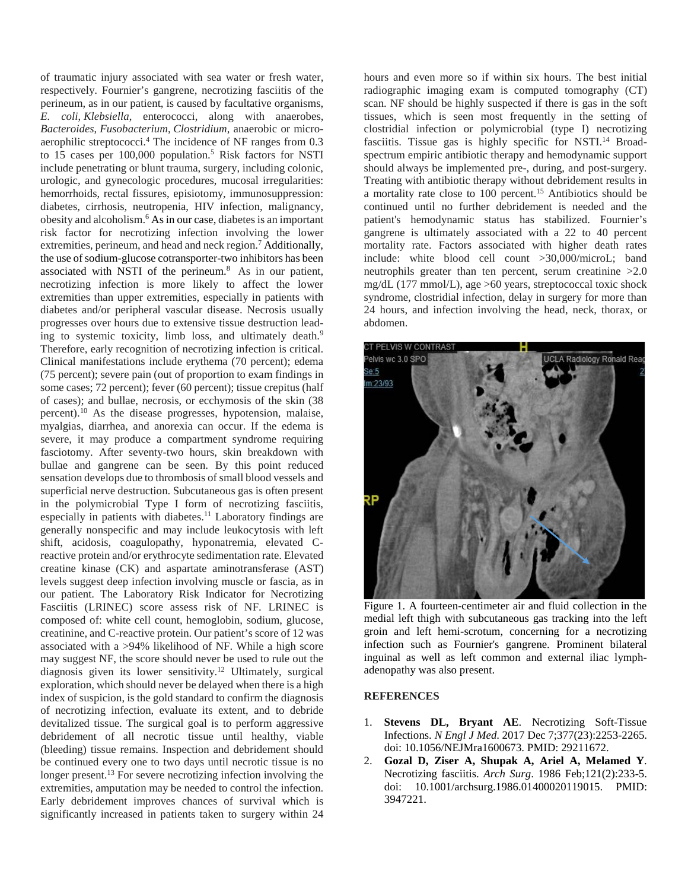of traumatic injury associated with sea water or fresh water, respectively. Fournier's gangrene, necrotizing fasciitis of the perineum, as in our patient, is caused by facultative organisms, *E. coli*, *Klebsiella*, enterococci, along with anaerobes, *Bacteroides*, *Fusobacterium*, *Clostridium*, anaerobic or microaerophilic streptococci.4 The incidence of NF ranges from 0.3 to 15 cases per  $100,000$  population.<sup>5</sup> Risk factors for NSTI include penetrating or blunt trauma, surgery, including colonic, urologic, and gynecologic procedures, mucosal irregularities: hemorrhoids, rectal fissures, episiotomy, immunosuppression: diabetes, cirrhosis, neutropenia, HIV infection, malignancy, obesity and alcoholism.<sup>6</sup> As in our case, diabetes is an important risk factor for necrotizing infection involving the lower extremities, perineum, and head and neck region.<sup>7</sup> Additionally, the use of sodium-glucose cotransporter-two inhibitors has been associated with NSTI of the perineum.8As in our patient, necrotizing infection is more likely to affect the lower extremities than upper extremities, especially in patients with diabetes and/or peripheral vascular disease. Necrosis usually progresses over hours due to extensive tissue destruction leading to systemic toxicity, limb loss, and ultimately death.<sup>9</sup> Therefore, early recognition of necrotizing infection is critical. Clinical manifestations include erythema (70 percent); edema (75 percent); severe pain (out of proportion to exam findings in some cases; 72 percent); fever (60 percent); tissue crepitus (half of cases); and bullae, necrosis, or ecchymosis of the skin (38 percent).10 As the disease progresses, hypotension, malaise, myalgias, diarrhea, and anorexia can occur. If the edema is severe, it may produce a compartment syndrome requiring fasciotomy. After seventy-two hours, skin breakdown with bullae and gangrene can be seen. By this point reduced sensation develops due to thrombosis of small blood vessels and superficial nerve destruction. Subcutaneous gas is often present in the polymicrobial Type I form of necrotizing fasciitis, especially in patients with diabetes.<sup>11</sup> Laboratory findings are generally nonspecific and may include leukocytosis with left shift, acidosis, coagulopathy, hyponatremia, elevated Creactive protein and/or erythrocyte sedimentation rate. Elevated creatine kinase (CK) and aspartate aminotransferase (AST) levels suggest deep infection involving muscle or fascia, as in our patient. The Laboratory Risk Indicator for Necrotizing Fasciitis (LRINEC) score assess risk of NF. LRINEC is composed of: white cell count, hemoglobin, sodium, glucose, creatinine, and C-reactive protein. Our patient's score of 12 was associated with a >94% likelihood of NF. While a high score may suggest NF, the score should never be used to rule out the diagnosis given its lower sensitivity.12 Ultimately, surgical exploration, which should never be delayed when there is a high index of suspicion, is the gold standard to confirm the diagnosis of necrotizing infection, evaluate its extent, and to debride devitalized tissue. The surgical goal is to perform aggressive debridement of all necrotic tissue until healthy, viable (bleeding) tissue remains. Inspection and debridement should be continued every one to two days until necrotic tissue is no longer present.<sup>13</sup> For severe necrotizing infection involving the extremities, amputation may be needed to control the infection. Early debridement improves chances of survival which is significantly increased in patients taken to surgery within 24

hours and even more so if within six hours. The best initial radiographic imaging exam is computed tomography (CT) scan. NF should be highly suspected if there is gas in the soft tissues, which is seen most frequently in the setting of clostridial infection or polymicrobial (type I) necrotizing fasciitis. Tissue gas is highly specific for NSTI.<sup>14</sup> Broadspectrum empiric antibiotic therapy and hemodynamic support should always be implemented pre-, during, and post-surgery. Treating with antibiotic therapy without debridement results in a mortality rate close to 100 percent.<sup>15</sup> Antibiotics should be continued until no further debridement is needed and the patient's hemodynamic status has stabilized. Fournier's gangrene is ultimately associated with a 22 to 40 percent mortality rate. Factors associated with higher death rates include: white blood cell count >30,000/microL; band neutrophils greater than ten percent, serum creatinine >2.0 mg/dL (177 mmol/L), age >60 years, streptococcal toxic shock syndrome, clostridial infection, delay in surgery for more than 24 hours, and infection involving the head, neck, thorax, or abdomen.



Figure 1. A fourteen-centimeter air and fluid collection in the medial left thigh with subcutaneous gas tracking into the left groin and left hemi-scrotum, concerning for a necrotizing infection such as Fournier's gangrene. Prominent bilateral inguinal as well as left common and external iliac lymphadenopathy was also present.

## **REFERENCES**

- 1. **Stevens DL, Bryant AE**. Necrotizing Soft-Tissue Infections. *N Engl J Med*. 2017 Dec 7;377(23):2253-2265. doi: 10.1056/NEJMra1600673. PMID: 29211672.
- 2. **Gozal D, Ziser A, Shupak A, Ariel A, Melamed Y**. Necrotizing fasciitis. *Arch Surg*. 1986 Feb;121(2):233-5. doi: 10.1001/archsurg.1986.01400020119015. PMID: 3947221.